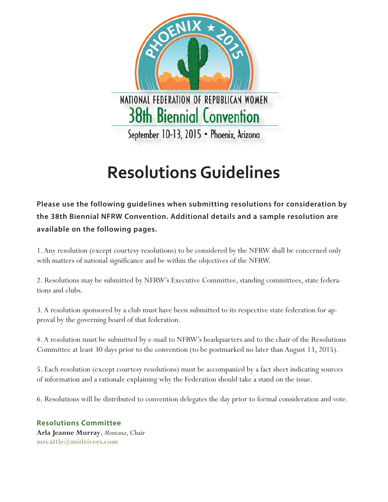

# **Resolutions Guidelines**

**Please use the following guidelines when submitting resolutions for consideration by the 38th Biennial NFRW Convention. Additional details and a sample resolution are available on the following pages.**

1. Any resolution (except courtesy resolutions) to be considered by the NFRW shall be concerned only with matters of national significance and be within the objectives of the NFRW.

2. Resolutions may be submitted by NFRW's Executive Committee, standing committees, state federations and clubs.

3. A resolution sponsored by a club must have been submitted to its respective state federation for approval by the governing board of that federation.

4. A resolution must be submitted by e-mail to NFRW's headquarters and to the chair of the Resolutions Committee at least 30 days prior to the convention (to be postmarked no later than August 13, 2015).

5. Each resolution (except courtesy resolutions) must be accompanied by a fact sheet indicating sources of information and a rationale explaining why the Federation should take a stand on the issue.

6. Resolutions will be distributed to convention delegates the day prior to formal consideration and vote.

**Resolutions Committee Arla Jeanne Murray**, *Montana*, Chair **mrcattle@midrivers.com**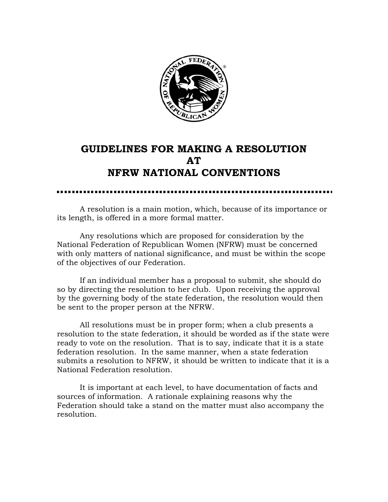

## **GUIDELINES FOR MAKING A RESOLUTION AT NFRW NATIONAL CONVENTIONS**

A resolution is a main motion, which, because of its importance or its length, is offered in a more formal matter.

 Any resolutions which are proposed for consideration by the National Federation of Republican Women (NFRW) must be concerned with only matters of national significance, and must be within the scope of the objectives of our Federation.

 If an individual member has a proposal to submit, she should do so by directing the resolution to her club. Upon receiving the approval by the governing body of the state federation, the resolution would then be sent to the proper person at the NFRW.

 All resolutions must be in proper form; when a club presents a resolution to the state federation, it should be worded as if the state were ready to vote on the resolution. That is to say, indicate that it is a state federation resolution. In the same manner, when a state federation submits a resolution to NFRW, it should be written to indicate that it is a National Federation resolution.

 It is important at each level, to have documentation of facts and sources of information. A rationale explaining reasons why the Federation should take a stand on the matter must also accompany the resolution.